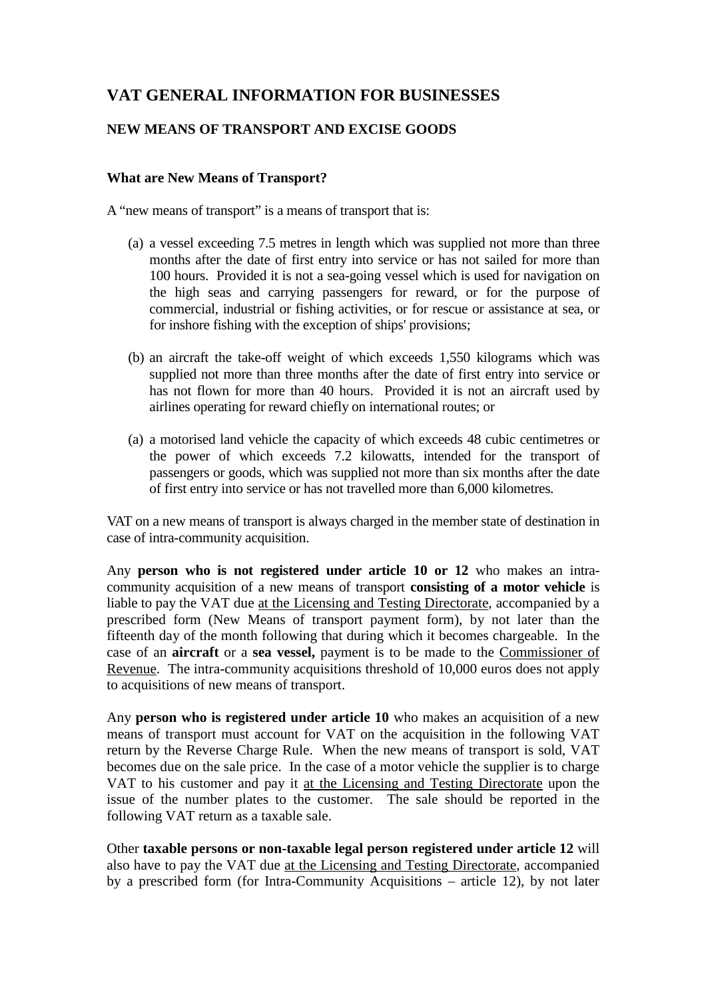## **VAT GENERAL INFORMATION FOR BUSINESSES**

## **NEW MEANS OF TRANSPORT AND EXCISE GOODS**

## **What are New Means of Transport?**

A "new means of transport" is a means of transport that is:

- (a) a vessel exceeding 7.5 metres in length which was supplied not more than three months after the date of first entry into service or has not sailed for more than 100 hours. Provided it is not a sea-going vessel which is used for navigation on the high seas and carrying passengers for reward, or for the purpose of commercial, industrial or fishing activities, or for rescue or assistance at sea, or for inshore fishing with the exception of ships' provisions;
- (b) an aircraft the take-off weight of which exceeds 1,550 kilograms which was supplied not more than three months after the date of first entry into service or has not flown for more than 40 hours. Provided it is not an aircraft used by airlines operating for reward chiefly on international routes; or
- (a) a motorised land vehicle the capacity of which exceeds 48 cubic centimetres or the power of which exceeds 7.2 kilowatts, intended for the transport of passengers or goods, which was supplied not more than six months after the date of first entry into service or has not travelled more than 6,000 kilometres.

VAT on a new means of transport is always charged in the member state of destination in case of intra-community acquisition.

Any **person who is not registered under article 10 or 12** who makes an intracommunity acquisition of a new means of transport **consisting of a motor vehicle** is liable to pay the VAT due at the Licensing and Testing Directorate, accompanied by a prescribed form (New Means of transport payment form), by not later than the fifteenth day of the month following that during which it becomes chargeable. In the case of an **aircraft** or a **sea vessel,** payment is to be made to the Commissioner of Revenue. The intra-community acquisitions threshold of 10,000 euros does not apply to acquisitions of new means of transport.

Any **person who is registered under article 10** who makes an acquisition of a new means of transport must account for VAT on the acquisition in the following VAT return by the Reverse Charge Rule. When the new means of transport is sold, VAT becomes due on the sale price. In the case of a motor vehicle the supplier is to charge VAT to his customer and pay it at the Licensing and Testing Directorate upon the issue of the number plates to the customer. The sale should be reported in the following VAT return as a taxable sale.

Other **taxable persons or non-taxable legal person registered under article 12** will also have to pay the VAT due at the Licensing and Testing Directorate, accompanied by a prescribed form (for Intra-Community Acquisitions – article 12), by not later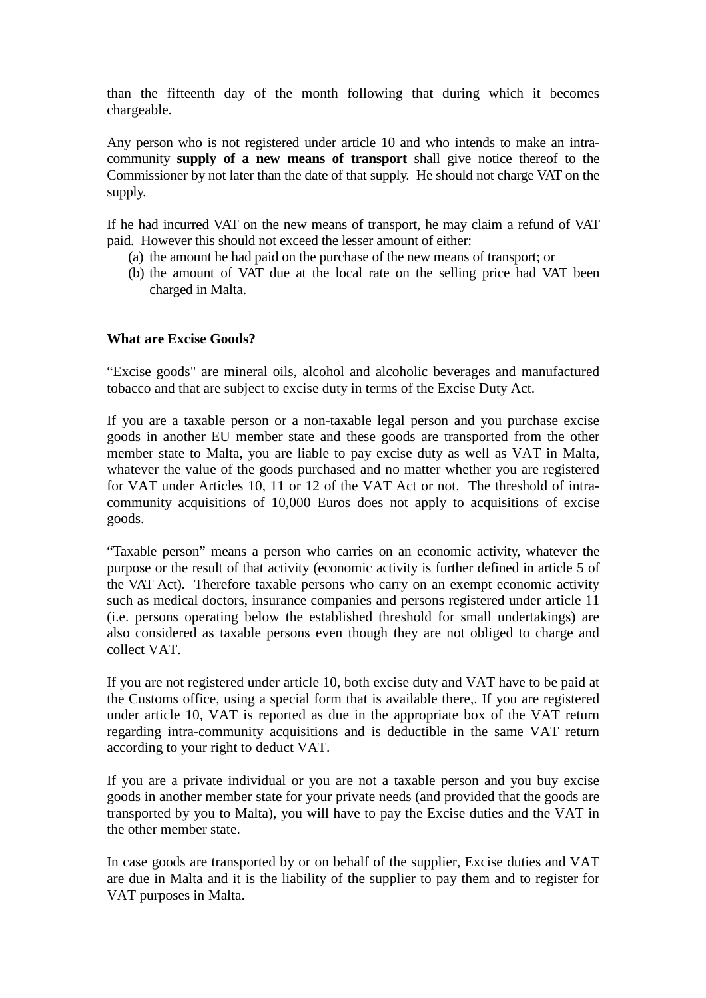than the fifteenth day of the month following that during which it becomes chargeable.

Any person who is not registered under article 10 and who intends to make an intracommunity **supply of a new means of transport** shall give notice thereof to the Commissioner by not later than the date of that supply. He should not charge VAT on the supply.

If he had incurred VAT on the new means of transport, he may claim a refund of VAT paid. However this should not exceed the lesser amount of either:

- (a) the amount he had paid on the purchase of the new means of transport; or
- (b) the amount of VAT due at the local rate on the selling price had VAT been charged in Malta.

## **What are Excise Goods?**

"Excise goods" are mineral oils, alcohol and alcoholic beverages and manufactured tobacco and that are subject to excise duty in terms of the Excise Duty Act.

If you are a taxable person or a non-taxable legal person and you purchase excise goods in another EU member state and these goods are transported from the other member state to Malta, you are liable to pay excise duty as well as VAT in Malta, whatever the value of the goods purchased and no matter whether you are registered for VAT under Articles 10, 11 or 12 of the VAT Act or not. The threshold of intracommunity acquisitions of 10,000 Euros does not apply to acquisitions of excise goods.

"Taxable person" means a person who carries on an economic activity, whatever the purpose or the result of that activity (economic activity is further defined in article 5 of the VAT Act). Therefore taxable persons who carry on an exempt economic activity such as medical doctors, insurance companies and persons registered under article 11 (i.e. persons operating below the established threshold for small undertakings) are also considered as taxable persons even though they are not obliged to charge and collect VAT.

If you are not registered under article 10, both excise duty and VAT have to be paid at the Customs office, using a special form that is available there,. If you are registered under article 10, VAT is reported as due in the appropriate box of the VAT return regarding intra-community acquisitions and is deductible in the same VAT return according to your right to deduct VAT.

If you are a private individual or you are not a taxable person and you buy excise goods in another member state for your private needs (and provided that the goods are transported by you to Malta), you will have to pay the Excise duties and the VAT in the other member state.

In case goods are transported by or on behalf of the supplier, Excise duties and VAT are due in Malta and it is the liability of the supplier to pay them and to register for VAT purposes in Malta.